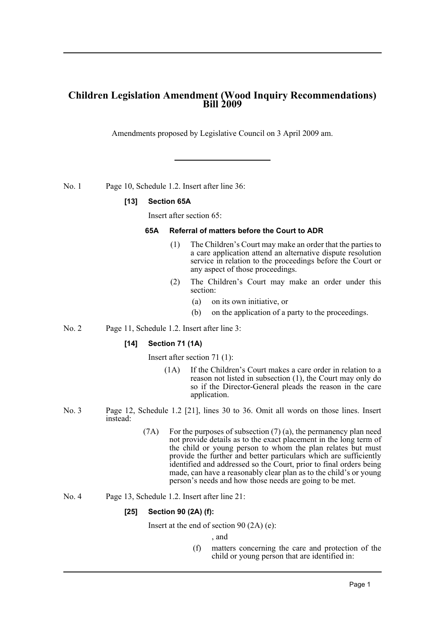# **Children Legislation Amendment (Wood Inquiry Recommendations) Bill 2009**

Amendments proposed by Legislative Council on 3 April 2009 am.

No. 1 Page 10, Schedule 1.2. Insert after line 36:

#### **[13] Section 65A**

Insert after section 65:

#### **65A Referral of matters before the Court to ADR**

- (1) The Children's Court may make an order that the parties to a care application attend an alternative dispute resolution service in relation to the proceedings before the Court or any aspect of those proceedings.
- (2) The Children's Court may make an order under this section:
	- (a) on its own initiative, or
	- (b) on the application of a party to the proceedings.
- No. 2 Page 11, Schedule 1.2. Insert after line 3:

#### **[14] Section 71 (1A)**

Insert after section 71 (1):

- (1A) If the Children's Court makes a care order in relation to a reason not listed in subsection (1), the Court may only do so if the Director-General pleads the reason in the care application.
- No. 3 Page 12, Schedule 1.2 [21], lines 30 to 36. Omit all words on those lines. Insert instead:
	- (7A) For the purposes of subsection (7) (a), the permanency plan need not provide details as to the exact placement in the long term of the child or young person to whom the plan relates but must provide the further and better particulars which are sufficiently identified and addressed so the Court, prior to final orders being made, can have a reasonably clear plan as to the child's or young person's needs and how those needs are going to be met.
- No. 4 Page 13, Schedule 1.2. Insert after line 21:

#### **[25] Section 90 (2A) (f):**

Insert at the end of section 90 (2A) (e):

, and

(f) matters concerning the care and protection of the child or young person that are identified in: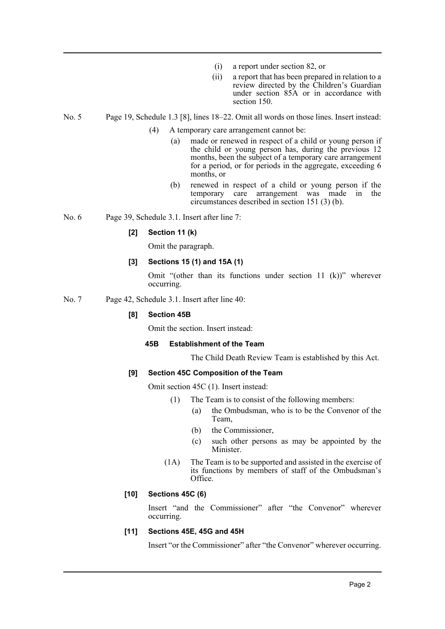- (i) a report under section 82, or
- (ii) a report that has been prepared in relation to a review directed by the Children's Guardian under section 85A or in accordance with section 150.

No. 5 Page 19, Schedule 1.3 [8], lines 18–22. Omit all words on those lines. Insert instead:

- (4) A temporary care arrangement cannot be:
	- (a) made or renewed in respect of a child or young person if the child or young person has, during the previous 12 months, been the subject of a temporary care arrangement for a period, or for periods in the aggregate, exceeding 6 months, or
	- (b) renewed in respect of a child or young person if the temporary care arrangement was made in the circumstances described in section 151 (3) (b).

No. 6 Page 39, Schedule 3.1. Insert after line 7:

## **[2] Section 11 (k)**

Omit the paragraph.

## **[3] Sections 15 (1) and 15A (1)**

Omit "(other than its functions under section 11 (k))" wherever occurring.

No. 7 Page 42, Schedule 3.1. Insert after line 40:

## **[8] Section 45B**

Omit the section. Insert instead:

#### **45B Establishment of the Team**

The Child Death Review Team is established by this Act.

#### **[9] Section 45C Composition of the Team**

Omit section 45C (1). Insert instead:

- (1) The Team is to consist of the following members:
	- (a) the Ombudsman, who is to be the Convenor of the Team,
	- (b) the Commissioner,
	- (c) such other persons as may be appointed by the Minister.
- (1A) The Team is to be supported and assisted in the exercise of its functions by members of staff of the Ombudsman's Office.

## **[10] Sections 45C (6)**

Insert "and the Commissioner" after "the Convenor" wherever occurring.

#### **[11] Sections 45E, 45G and 45H**

Insert "or the Commissioner" after "the Convenor" wherever occurring.